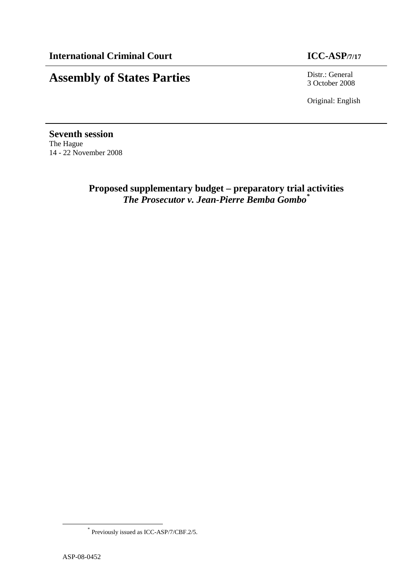# **Assembly of States Parties** Distr.: General

3 October 2008

Original: English

**Seventh session**  The Hague 14 - 22 November 2008

> **Proposed supplementary budget – preparatory trial activities**  *The Prosecutor v. Jean-Pierre Bemba Gombo\**

 $\overline{a}$ 

<sup>\*</sup> Previously issued as ICC-ASP/7/CBF.2/5.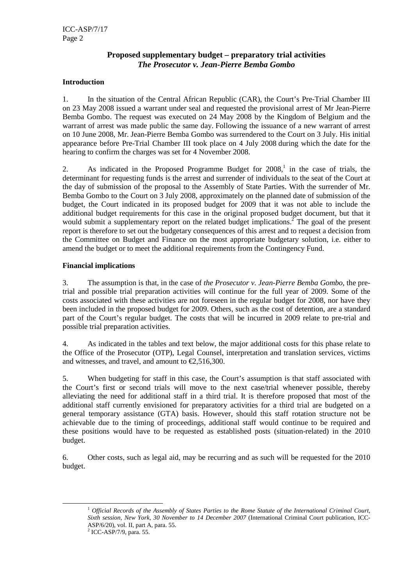### **Proposed supplementary budget – preparatory trial activities**  *The Prosecutor v. Jean-Pierre Bemba Gombo*

#### **Introduction**

1. In the situation of the Central African Republic (CAR), the Court's Pre-Trial Chamber III on 23 May 2008 issued a warrant under seal and requested the provisional arrest of Mr Jean-Pierre Bemba Gombo. The request was executed on 24 May 2008 by the Kingdom of Belgium and the warrant of arrest was made public the same day. Following the issuance of a new warrant of arrest on 10 June 2008, Mr. Jean-Pierre Bemba Gombo was surrendered to the Court on 3 July. His initial appearance before Pre-Trial Chamber III took place on 4 July 2008 during which the date for the hearing to confirm the charges was set for 4 November 2008.

2. As indicated in the Proposed Programme Budget for  $2008$ ,<sup>1</sup> in the case of trials, the determinant for requesting funds is the arrest and surrender of individuals to the seat of the Court at the day of submission of the proposal to the Assembly of State Parties. With the surrender of Mr. Bemba Gombo to the Court on 3 July 2008, approximately on the planned date of submission of the budget, the Court indicated in its proposed budget for 2009 that it was not able to include the additional budget requirements for this case in the original proposed budget document, but that it would submit a supplementary report on the related budget implications.<sup>2</sup> The goal of the present report is therefore to set out the budgetary consequences of this arrest and to request a decision from the Committee on Budget and Finance on the most appropriate budgetary solution, i.e. either to amend the budget or to meet the additional requirements from the Contingency Fund.

#### **Financial implications**

3. The assumption is that, in the case of *the Prosecutor v. Jean-Pierre Bemba Gombo*, the pretrial and possible trial preparation activities will continue for the full year of 2009. Some of the costs associated with these activities are not foreseen in the regular budget for 2008, nor have they been included in the proposed budget for 2009. Others, such as the cost of detention, are a standard part of the Court's regular budget. The costs that will be incurred in 2009 relate to pre-trial and possible trial preparation activities.

4. As indicated in the tables and text below, the major additional costs for this phase relate to the Office of the Prosecutor (OTP), Legal Counsel, interpretation and translation services, victims and witnesses, and travel, and amount to  $\epsilon$ 2,516,300

5. When budgeting for staff in this case, the Court's assumption is that staff associated with the Court's first or second trials will move to the next case/trial whenever possible, thereby alleviating the need for additional staff in a third trial. It is therefore proposed that most of the additional staff currently envisioned for preparatory activities for a third trial are budgeted on a general temporary assistance (GTA) basis. However, should this staff rotation structure not be achievable due to the timing of proceedings, additional staff would continue to be required and these positions would have to be requested as established posts (situation-related) in the 2010 budget.

6. Other costs, such as legal aid, may be recurring and as such will be requested for the 2010 budget.

 $\overline{a}$ 

<sup>&</sup>lt;sup>1</sup> Official Records of the Assembly of States Parties to the Rome Statute of the International Criminal Court, *Sixth session, New York, 30 November to 14 December 2007 (International Criminal Court publication, ICC-*ASP/6/20), vol. II, part A, para. 55.

<sup>&</sup>lt;sup>2</sup> ICC-ASP/7/9, para. 55.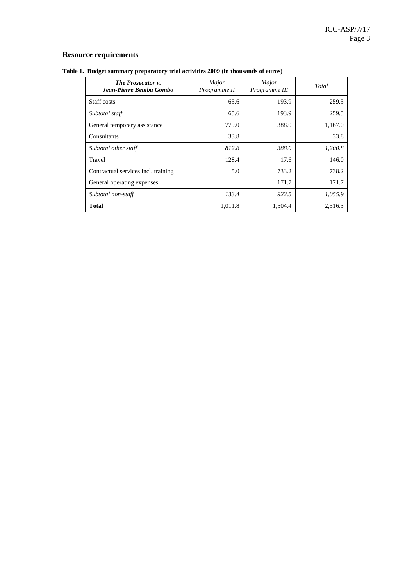# **Resource requirements**

| Table 1. Budget summary preparatory trial activities 2009 (in thousands of euros) |  |  |  |  |  |
|-----------------------------------------------------------------------------------|--|--|--|--|--|
|-----------------------------------------------------------------------------------|--|--|--|--|--|

| <b>The Prosecutor v.</b><br>Jean-Pierre Bemba Gombo | Major<br>Programme II | Major<br>Programme III | Total   |  |
|-----------------------------------------------------|-----------------------|------------------------|---------|--|
| Staff costs                                         | 65.6                  | 193.9                  | 259.5   |  |
| Subtotal staff                                      | 65.6                  | 193.9                  | 259.5   |  |
| General temporary assistance                        | 779.0                 | 388.0                  | 1,167.0 |  |
| Consultants                                         | 33.8                  |                        | 33.8    |  |
| Subtotal other staff                                | 812.8                 | 388.0                  | 1,200.8 |  |
| Travel                                              | 128.4                 | 17.6                   | 146.0   |  |
| Contractual services incl. training                 | 5.0                   | 733.2                  | 738.2   |  |
| General operating expenses                          |                       | 171.7                  | 171.7   |  |
| Subtotal non-staff                                  | 133.4                 | 922.5                  | 1,055.9 |  |
| <b>Total</b>                                        | 1,011.8               | 1,504.4                | 2,516.3 |  |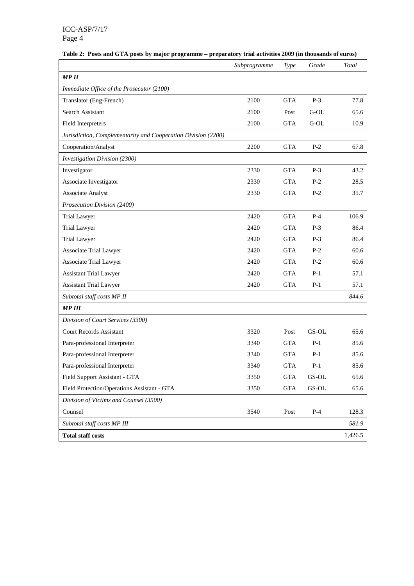|  |  |  |  |  | Table 2: Posts and GTA posts by major programme – preparatory trial activities 2009 (in thousands of euros) |  |  |  |  |  |
|--|--|--|--|--|-------------------------------------------------------------------------------------------------------------|--|--|--|--|--|
|--|--|--|--|--|-------------------------------------------------------------------------------------------------------------|--|--|--|--|--|

|                                                               | Subprogramme | Type       | Grade  | Total   |
|---------------------------------------------------------------|--------------|------------|--------|---------|
| <b>MPII</b>                                                   |              |            |        |         |
| Immediate Office of the Prosecutor (2100)                     |              |            |        |         |
| Translator (Eng-French)                                       | 2100         | <b>GTA</b> | $P-3$  | 77.8    |
| Search Assistant                                              | 2100         | Post       | $G-OL$ | 65.6    |
| Field Interpreters                                            | 2100         | <b>GTA</b> | $G-OL$ | 10.9    |
| Jurisdiction, Complementarity and Cooperation Division (2200) |              |            |        |         |
| Cooperation/Analyst                                           | 2200         | <b>GTA</b> | $P-2$  | 67.8    |
| <b>Investigation Division (2300)</b>                          |              |            |        |         |
| Investigator                                                  | 2330         | <b>GTA</b> | $P-3$  | 43.2    |
| Associate Investigator                                        | 2330         | <b>GTA</b> | $P-2$  | 28.5    |
| Associate Analyst                                             | 2330         | <b>GTA</b> | $P-2$  | 35.7    |
| Prosecution Division (2400)                                   |              |            |        |         |
| <b>Trial Lawyer</b>                                           | 2420         | <b>GTA</b> | $P-4$  | 106.9   |
| <b>Trial Lawyer</b>                                           | 2420         | <b>GTA</b> | $P-3$  | 86.4    |
| <b>Trial Lawyer</b>                                           | 2420         | <b>GTA</b> | $P-3$  | 86.4    |
| Associate Trial Lawyer                                        | 2420         | <b>GTA</b> | $P-2$  | 60.6    |
| Associate Trial Lawyer                                        | 2420         | <b>GTA</b> | $P-2$  | 60.6    |
| <b>Assistant Trial Lawyer</b>                                 | 2420         | <b>GTA</b> | $P-1$  | 57.1    |
| <b>Assistant Trial Lawyer</b>                                 | 2420         | <b>GTA</b> | $P-1$  | 57.1    |
| Subtotal staff costs MP II                                    |              |            |        | 844.6   |
| <b>MP III</b>                                                 |              |            |        |         |
| Division of Court Services (3300)                             |              |            |        |         |
| <b>Court Records Assistant</b>                                | 3320         | Post       | GS-OL  | 65.6    |
| Para-professional Interpreter                                 | 3340         | <b>GTA</b> | $P-1$  | 85.6    |
| Para-professional Interpreter                                 | 3340         | <b>GTA</b> | $P-1$  | 85.6    |
| Para-professional Interpreter                                 | 3340         | <b>GTA</b> | $P-1$  | 85.6    |
| Field Support Assistant - GTA                                 | 3350         | <b>GTA</b> | GS-OL  | 65.6    |
| Field Protection/Operations Assistant - GTA                   | 3350         | <b>GTA</b> | GS-OL  | 65.6    |
| Division of Victims and Counsel (3500)                        |              |            |        |         |
| Counsel                                                       | 3540         | Post       | $P-4$  | 128.3   |
| Subtotal staff costs MP III                                   |              |            |        | 581.9   |
| <b>Total staff costs</b>                                      |              |            |        | 1,426.5 |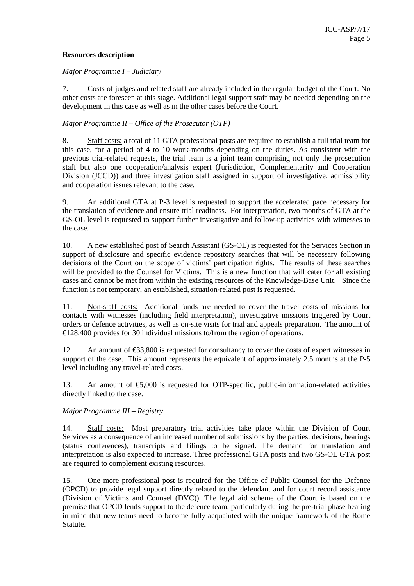#### **Resources description**

#### *Major Programme I – Judiciary*

7. Costs of judges and related staff are already included in the regular budget of the Court. No other costs are foreseen at this stage. Additional legal support staff may be needed depending on the development in this case as well as in the other cases before the Court.

#### *Major Programme II – Office of the Prosecutor (OTP)*

8. Staff costs: a total of 11 GTA professional posts are required to establish a full trial team for this case, for a period of 4 to 10 work-months depending on the duties. As consistent with the previous trial-related requests, the trial team is a joint team comprising not only the prosecution staff but also one cooperation/analysis expert (Jurisdiction, Complementarity and Cooperation Division (JCCD)) and three investigation staff assigned in support of investigative, admissibility and cooperation issues relevant to the case.

9. An additional GTA at P-3 level is requested to support the accelerated pace necessary for the translation of evidence and ensure trial readiness. For interpretation, two months of GTA at the GS-OL level is requested to support further investigative and follow-up activities with witnesses to the case.

10. A new established post of Search Assistant (GS-OL) is requested for the Services Section in support of disclosure and specific evidence repository searches that will be necessary following decisions of the Court on the scope of victims' participation rights. The results of these searches will be provided to the Counsel for Victims. This is a new function that will cater for all existing cases and cannot be met from within the existing resources of the Knowledge-Base Unit. Since the function is not temporary, an established, situation-related post is requested.

11. Non-staff costs: Additional funds are needed to cover the travel costs of missions for contacts with witnesses (including field interpretation), investigative missions triggered by Court orders or defence activities, as well as on-site visits for trial and appeals preparation. The amount of  $\epsilon$ 128,400 provides for 30 individual missions to/from the region of operations.

12. An amount of  $\epsilon$ 33,800 is requested for consultancy to cover the costs of expert witnesses in support of the case. This amount represents the equivalent of approximately 2.5 months at the P-5 level including any travel-related costs.

13. An amount of  $\epsilon$ 5,000 is requested for OTP-specific, public-information-related activities directly linked to the case.

#### *Major Programme III – Registry*

14. Staff costs: Most preparatory trial activities take place within the Division of Court Services as a consequence of an increased number of submissions by the parties, decisions, hearings (status conferences), transcripts and filings to be signed. The demand for translation and interpretation is also expected to increase. Three professional GTA posts and two GS-OL GTA post are required to complement existing resources.

15. One more professional post is required for the Office of Public Counsel for the Defence (OPCD) to provide legal support directly related to the defendant and for court record assistance (Division of Victims and Counsel (DVC)). The legal aid scheme of the Court is based on the premise that OPCD lends support to the defence team, particularly during the pre-trial phase bearing in mind that new teams need to become fully acquainted with the unique framework of the Rome Statute.